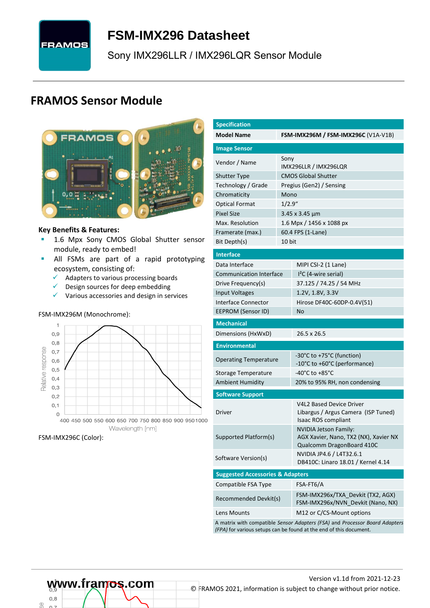# **FRAMOS**

# <span id="page-0-7"></span>**FSM-IMX296 [Datasheet](#page-0-0)**

<span id="page-0-3"></span>[Sony](#page-0-1) [IMX296LLR / IMX296LQR](#page-0-2) Sensor Module

### **FRAMOS Sensor Module**



#### **Key Benefits & Features:**

- **[1.6](#page-0-4) Mpx [Sony](#page-0-1) [CMOS Global Shutter](#page-0-5) sensor** module, ready to embed!
- **E** All FSMs are part of a rapid prototyping ecosystem, consisting of:
	- $\checkmark$  Adapters to various processing boards<br> $\checkmark$  Design sources for deen embedding
	- Design sources for deep embedding
	- ✓ Various accessories and design in services

#### FSM-IMX296M (Monochrome):



#### FSM-IMX296C (Color):

œ

<span id="page-0-6"></span><span id="page-0-5"></span><span id="page-0-4"></span><span id="page-0-2"></span><span id="page-0-1"></span><span id="page-0-0"></span>

| <b>Specification</b>                        |         |                                                                                                                                                   |  |  |  |  |  |
|---------------------------------------------|---------|---------------------------------------------------------------------------------------------------------------------------------------------------|--|--|--|--|--|
| <b>Model Name</b>                           |         | <b>FSM-IMX296M / FSM-IMX296C (V1A-V1B)</b>                                                                                                        |  |  |  |  |  |
| <b>Image Sensor</b>                         |         |                                                                                                                                                   |  |  |  |  |  |
| Vendor / Name                               | Sony    | IMX296LLR / IMX296LQR                                                                                                                             |  |  |  |  |  |
| <b>Shutter Type</b>                         |         | <b>CMOS Global Shutter</b>                                                                                                                        |  |  |  |  |  |
| Technology / Grade                          |         | Pregius (Gen2) / Sensing                                                                                                                          |  |  |  |  |  |
| Chromaticity                                | Mono    |                                                                                                                                                   |  |  |  |  |  |
| <b>Optical Format</b>                       | 1/2.9'' |                                                                                                                                                   |  |  |  |  |  |
| <b>Pixel Size</b>                           |         | 3.45 x 3.45 µm                                                                                                                                    |  |  |  |  |  |
| Max. Resolution                             |         | 1.6 Mpx / 1456 x 1088 px                                                                                                                          |  |  |  |  |  |
| Framerate (max.)                            |         | 60.4 FPS (1-Lane)                                                                                                                                 |  |  |  |  |  |
| Bit Depth(s)                                | 10 bit  |                                                                                                                                                   |  |  |  |  |  |
| <b>Interface</b>                            |         |                                                                                                                                                   |  |  |  |  |  |
| Data Interface                              |         | MIPI CSI-2 (1 Lane)                                                                                                                               |  |  |  |  |  |
| <b>Communication Interface</b>              |         | $I2C$ (4-wire serial)                                                                                                                             |  |  |  |  |  |
| Drive Frequency(s)                          |         | 37.125 / 74.25 / 54 MHz                                                                                                                           |  |  |  |  |  |
| <b>Input Voltages</b>                       |         | 1.2V, 1.8V, 3.3V                                                                                                                                  |  |  |  |  |  |
| Interface Connector                         |         | Hirose DF40C-60DP-0.4V(51)                                                                                                                        |  |  |  |  |  |
| EEPROM (Sensor ID)                          |         | No                                                                                                                                                |  |  |  |  |  |
| <b>Mechanical</b>                           |         |                                                                                                                                                   |  |  |  |  |  |
| Dimensions (HxWxD)                          |         | 26.5 x 26.5                                                                                                                                       |  |  |  |  |  |
| <b>Environmental</b>                        |         |                                                                                                                                                   |  |  |  |  |  |
| <b>Operating Temperature</b>                |         | -30°C to +75°C (function)<br>-10°C to +60°C (performance)                                                                                         |  |  |  |  |  |
| Storage Temperature                         |         | -40°C to +85°C                                                                                                                                    |  |  |  |  |  |
| <b>Ambient Humidity</b>                     |         | 20% to 95% RH, non condensing                                                                                                                     |  |  |  |  |  |
| <b>Software Support</b>                     |         |                                                                                                                                                   |  |  |  |  |  |
| Driver                                      |         | <b>V4L2 Based Device Driver</b><br>Libargus / Argus Camera (ISP Tuned)<br>Isaac ROS compliant                                                     |  |  |  |  |  |
| Supported Platform(s)                       |         | <b>NVIDIA Jetson Family:</b><br>AGX Xavier, Nano, TX2 (NX), Xavier NX<br>Qualcomm DragonBoard 410C                                                |  |  |  |  |  |
| Software Version(s)                         |         | NVIDIA JP4.6 / L4T32.6.1<br>DB410C: Linaro 18.01 / Kernel 4.14                                                                                    |  |  |  |  |  |
| <b>Suggested Accessories &amp; Adapters</b> |         |                                                                                                                                                   |  |  |  |  |  |
| Compatible FSA Type                         |         | FSA-FT6/A                                                                                                                                         |  |  |  |  |  |
| Recommended Devkit(s)                       |         | FSM-IMX296x/TXA_Devkit (TX2, AGX)<br>FSM-IMX296x/NVN Devkit (Nano, NX)                                                                            |  |  |  |  |  |
| Lens Mounts                                 |         | M12 or C/CS-Mount options                                                                                                                         |  |  |  |  |  |
|                                             |         | A matrix with compatible Sensor Adapters (FSA) and Processor Board Adapters<br>(FPA) for various setups can be found at the end of this document. |  |  |  |  |  |

 $0.8$ 

# Version [v1.1d](#page-0-3) from 2021-12-23 **www.framos.com** © FRAMOS 2021, information is subject to change without prior notice.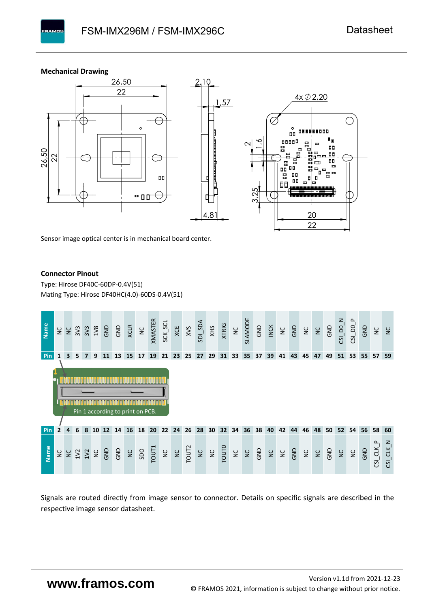**Mechanical Drawing**

**PAMOS** 



Sensor image optical center is in mechanical board center.

#### **Connector Pinout**

Type: [Hirose DF40C-60DP-0.4V\(51](#page-0-6)[\)](#page-0-6)  Mating Type: Hirose DF40HC(4.0)-60DS-0.4V(51)



Signals are routed directly from image sensor to connector. Details on specific signals are described in the respective image sensor datasheet.

## **www.framos.com**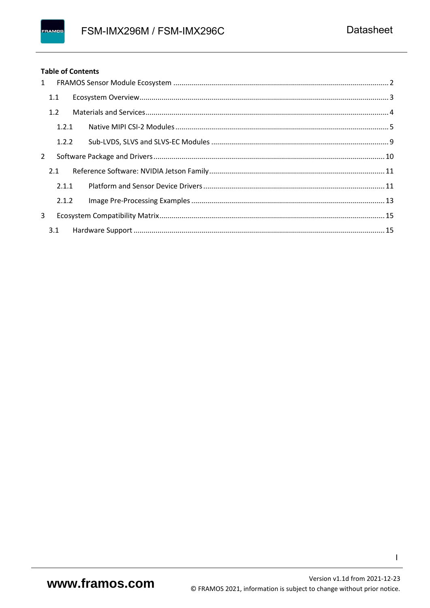#### **Table of Contents**

|              | $1 \quad$ |  |
|--------------|-----------|--|
|              | 1.1       |  |
|              | 1.2       |  |
|              | 1.2.1     |  |
|              | 1.2.2     |  |
| $\mathbf{2}$ |           |  |
|              | 2.1       |  |
|              | 2.1.1     |  |
|              | 2.1.2     |  |
| 3            |           |  |
|              | 3.1       |  |

 $\mathbf{I}$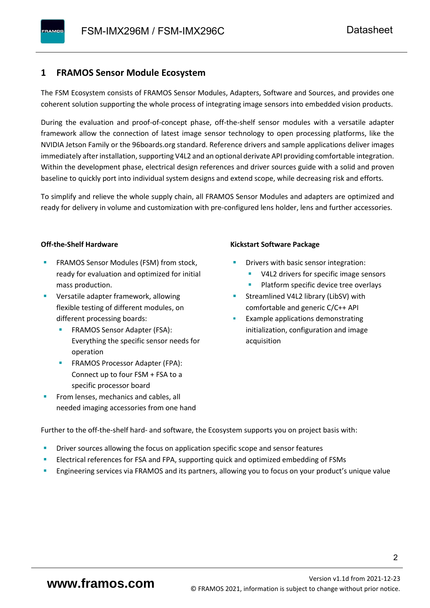#### <span id="page-3-0"></span>**1 FRAMOS Sensor Module Ecosystem**

The FSM Ecosystem consists of FRAMOS Sensor Modules, Adapters, Software and Sources, and provides one coherent solution supporting the whole process of integrating image sensors into embedded vision products.

During the evaluation and proof-of-concept phase, off-the-shelf sensor modules with a versatile adapter framework allow the connection of latest image sensor technology to open processing platforms, like the NVIDIA Jetson Family or the 96boards.org standard. Reference drivers and sample applications deliver images immediately after installation, supporting V4L2 and an optional derivate API providing comfortable integration. Within the development phase, electrical design references and driver sources guide with a solid and proven baseline to quickly port into individual system designs and extend scope, while decreasing risk and efforts.

To simplify and relieve the whole supply chain, all FRAMOS Sensor Modules and adapters are optimized and ready for delivery in volume and customization with pre-configured lens holder, lens and further accessories.

#### **Off-the-Shelf Hardware**

- FRAMOS Sensor Modules (FSM) from stock, ready for evaluation and optimized for initial mass production.
- Versatile adapter framework, allowing flexible testing of different modules, on different processing boards:
	- FRAMOS Sensor Adapter (FSA): Everything the specific sensor needs for operation
	- FRAMOS Processor Adapter (FPA): Connect up to four FSM + FSA to a specific processor board
- From lenses, mechanics and cables, all needed imaging accessories from one hand

#### **Kickstart Software Package**

- Drivers with basic sensor integration:
	- V4L2 drivers for specific image sensors
	- Platform specific device tree overlays
- Streamlined V4L2 library (LibSV) with comfortable and generic C/C++ API
- Example applications demonstrating initialization, configuration and image acquisition

Further to the off-the-shelf hard- and software, the Ecosystem supports you on project basis with:

- Driver sources allowing the focus on application specific scope and sensor features
- Electrical references for FSA and FPA, supporting quick and optimized embedding of FSMs
- Engineering services via FRAMOS and its partners, allowing you to focus on your product's unique value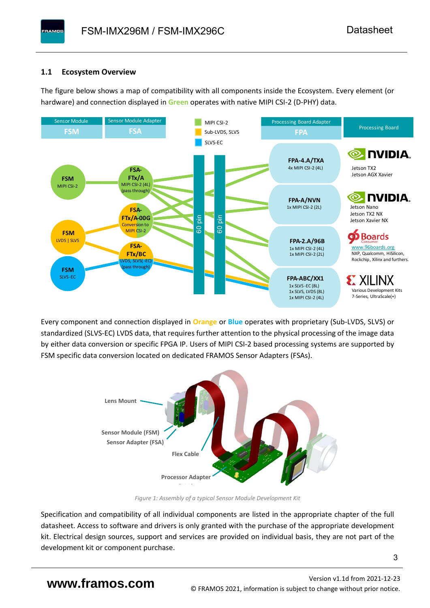#### <span id="page-4-0"></span>**1.1 Ecosystem Overview**

**PAMOS** 

The figure below shows a map of compatibility with all components inside the Ecosystem. Every element (or hardware) and connection displayed in **Green** operates with native MIPI CSI-2 (D-PHY) data.



Every component and connection displayed in **Orange** or **Blue** operates with proprietary (Sub-LVDS, SLVS) or standardized (SLVS-EC) LVDS data, that requires further attention to the physical processing of the image data by either data conversion or specific FPGA IP. Users of MIPI CSI-2 based processing systems are supported by FSM specific data conversion located on dedicated FRAMOS Sensor Adapters (FSAs).



*Figure 1: Assembly of a typical Sensor Module Development Kit*

Specification and compatibility of all individual components are listed in the appropriate chapter of the full datasheet. Access to software and drivers is only granted with the purchase of the appropriate development kit. Electrical design sources, support and services are provided on individual basis, they are not part of the development kit or component purchase.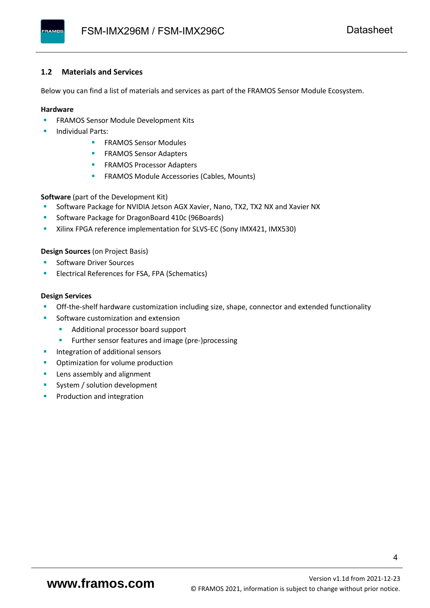#### <span id="page-5-0"></span>**1.2 Materials and Services**

Below you can find a list of materials and services as part of the FRAMOS Sensor Module Ecosystem.

#### **Hardware**

- **EXECTED FRAMOS Sensor Module Development Kits**
- **Individual Parts:** 
	- FRAMOS Sensor Modules
	- **FRAMOS Sensor Adapters**
	- **EXAMOS Processor Adapters**
	- **EXECTED** FRAMOS Module Accessories (Cables, Mounts)

**Software** (part of the Development Kit)

- Software Package for NVIDIA Jetson AGX Xavier, Nano, TX2, TX2 NX and Xavier NX
- Software Package for DragonBoard 410c (96Boards)
- **E** Xilinx FPGA reference implementation for SLVS-EC (Sony IMX421, IMX530)

#### **Design Sources** (on Project Basis)

- Software Driver Sources
- Electrical References for FSA, FPA (Schematics)

#### **Design Services**

- Off-the-shelf hardware customization including size, shape, connector and extended functionality
- Software customization and extension
	- Additional processor board support
	- Further sensor features and image (pre-)processing
- **■** Integration of additional sensors
- Optimization for volume production
- Lens assembly and alignment
- System / solution development
- Production and integration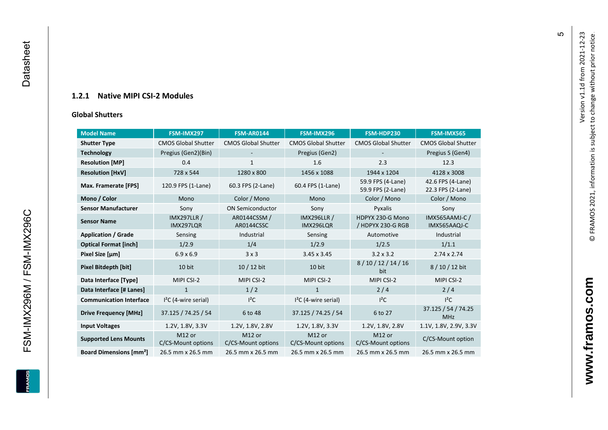#### **1.2.1 Native MIPI CSI - 2 Modules**

#### **[Global Shu](#page-0-7)tters**

<span id="page-6-0"></span>

| <b>Model Name</b>                        | FSM-IMX297                      | <b>FSM-AR0144</b>            | FSM-IMX296                      | FSM-HDP230                             | FSM-IMX565                             |
|------------------------------------------|---------------------------------|------------------------------|---------------------------------|----------------------------------------|----------------------------------------|
| <b>Shutter Type</b>                      | <b>CMOS Global Shutter</b>      | <b>CMOS Global Shutter</b>   | <b>CMOS Global Shutter</b>      | <b>CMOS Global Shutter</b>             | <b>CMOS Global Shutter</b>             |
| <b>Technology</b>                        | Pregius (Gen2)(Bin)             |                              | Pregius (Gen2)                  |                                        | Pregius S (Gen4)                       |
| <b>Resolution [MP]</b>                   | 0.4                             | $\mathbf{1}$                 | 1.6                             | 2.3                                    | 12.3                                   |
| <b>Resolution [HxV]</b>                  | 728 x 544                       | 1280 x 800                   | 1456 x 1088                     | 1944 x 1204                            | 4128 x 3008                            |
| Max. Framerate [FPS]                     | 120.9 FPS (1-Lane)              | 60.3 FPS (2-Lane)            | 60.4 FPS (1-Lane)               | 59.9 FPS (4-Lane)<br>59.9 FPS (2-Lane) | 42.6 FPS (4-Lane)<br>22.3 FPS (2-Lane) |
| Mono / Color                             | Mono                            | Color / Mono                 | Mono                            | Color / Mono                           | Color / Mono                           |
| <b>Sensor Manufacturer</b>               | Sony                            | <b>ON Semiconductor</b>      | Sony                            | Pyxalis                                | Sony                                   |
| <b>Sensor Name</b>                       | <b>IMX297LLR /</b><br>IMX297LQR | AR0144CSSM /<br>AR0144CSSC   | <b>IMX296LLR /</b><br>IMX296LQR | HDPYX 230-G Mono<br>/ HDPYX 230-G RGB  | <b>IMX565AAMJ-C/</b><br>IMX565AAQJ-C   |
| <b>Application / Grade</b>               | Sensing                         | Industrial                   | Sensing                         | Automotive                             | Industrial                             |
| <b>Optical Format [inch]</b>             | 1/2.9                           | 1/4                          | 1/2.9                           | 1/2.5                                  | 1/1.1                                  |
| Pixel Size [µm]                          | $6.9 \times 6.9$                | 3x3                          | $3.45 \times 3.45$              | $3.2 \times 3.2$                       | $2.74 \times 2.74$                     |
| <b>Pixel Bitdepth [bit]</b>              | 10 bit                          | $10/12$ bit                  | 10 bit                          | 8/10/12/14/16<br>bit                   | 8/10/12 bit                            |
| Data Interface [Type]                    | MIPI CSI-2                      | MIPI CSI-2                   | MIPI CSI-2                      | MIPI CSI-2                             | MIPI CSI-2                             |
| Data Interface [# Lanes]                 | $\mathbf{1}$                    | 1/2                          | $\mathbf{1}$                    | 2/4                                    | 2/4                                    |
| <b>Communication Interface</b>           | $I2C$ (4-wire serial)           | $I^2C$                       | $I2C$ (4-wire serial)           | $l^2C$                                 | $I^2C$                                 |
| <b>Drive Frequency [MHz]</b>             | 37.125 / 74.25 / 54             | 6 to 48                      | 37.125 / 74.25 / 54             | 6 to 27                                | 37.125 / 54 / 74.25<br><b>MHz</b>      |
| <b>Input Voltages</b>                    | 1.2V, 1.8V, 3.3V                | 1.2V, 1.8V, 2.8V             | 1.2V, 1.8V, 3.3V                | 1.2V, 1.8V, 2.8V                       | 1.1V, 1.8V, 2.9V, 3.3V                 |
| <b>Supported Lens Mounts</b>             | M12 or<br>C/CS-Mount options    | M12 or<br>C/CS-Mount options | M12 or<br>C/CS-Mount options    | M12 or<br>C/CS-Mount options           | C/CS-Mount option                      |
| <b>Board Dimensions [mm<sup>2</sup>]</b> | 26.5 mm x 26.5 mm               | 26.5 mm x 26.5 mm            | 26.5 mm x 26.5 mm               | 26.5 mm x 26.5 mm                      | 26.5 mm x 26.5 mm                      |

**www.framos.com**

www.framos.com

 $\mathfrak{g}$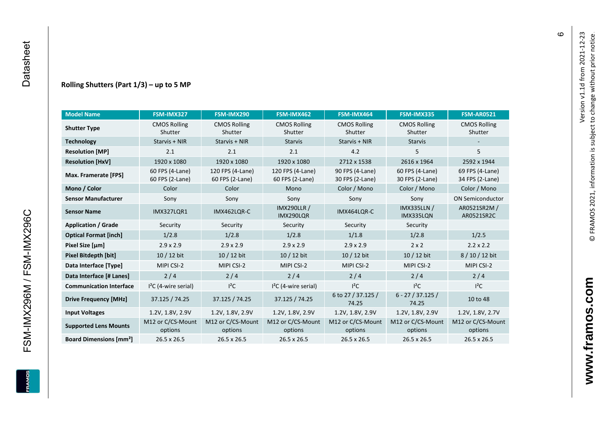#### **Rolling Shutters (Part 1/ 3 ) – up to 5 MP**

| <b>Model Name</b>                        | FSM-IMX327                         | FSM-IMX290                          | FSM-IMX462                           | FSM-IMX464                         | FSM-IMX335                         | <b>FSM-AR0521</b>                  |
|------------------------------------------|------------------------------------|-------------------------------------|--------------------------------------|------------------------------------|------------------------------------|------------------------------------|
| <b>Shutter Type</b>                      | <b>CMOS Rolling</b><br>Shutter     | <b>CMOS Rolling</b><br>Shutter      | <b>CMOS Rolling</b><br>Shutter       | <b>CMOS Rolling</b><br>Shutter     | <b>CMOS Rolling</b><br>Shutter     | <b>CMOS Rolling</b><br>Shutter     |
| <b>Technology</b>                        | Starvis + NIR                      | Starvis + NIR                       | <b>Starvis</b>                       | Starvis + NIR                      | <b>Starvis</b>                     |                                    |
| <b>Resolution [MP]</b>                   | 2.1                                | 2.1                                 | 2.1                                  | 4.2                                | 5                                  | 5                                  |
| <b>Resolution [HxV]</b>                  | 1920 x 1080                        | 1920 x 1080                         | 1920 x 1080                          | 2712 x 1538                        | 2616 x 1964                        | 2592 x 1944                        |
| Max. Framerate [FPS]                     | 60 FPS (4-Lane)<br>60 FPS (2-Lane) | 120 FPS (4-Lane)<br>60 FPS (2-Lane) | 120 FPS (4-Lane)<br>60 FPS (2-Lane)  | 90 FPS (4-Lane)<br>30 FPS (2-Lane) | 60 FPS (4-Lane)<br>30 FPS (2-Lane) | 69 FPS (4-Lane)<br>34 FPS (2-Lane) |
| Mono / Color                             | Color                              | Color                               | Mono                                 | Color / Mono                       | Color / Mono                       | Color / Mono                       |
| <b>Sensor Manufacturer</b>               | Sony                               | Sony                                | Sony                                 | Sony                               | Sony                               | <b>ON Semiconductor</b>            |
| <b>Sensor Name</b>                       | <b>IMX327LQR1</b>                  | IMX462LQR-C                         | <b>IMX290LLR /</b><br>IMX290LQR      | IMX464LQR-C                        | <b>IMX335LLN /</b><br>IMX335LQN    | AR0521SR2M /<br>AR0521SR2C         |
| <b>Application / Grade</b>               | Security                           | Security                            | Security                             | Security                           | Security                           |                                    |
| <b>Optical Format [inch]</b>             | 1/2.8                              | 1/2.8                               | 1/2.8<br>1/1.8                       |                                    | 1/2.8                              | 1/2.5                              |
| Pixel Size [µm]                          | $2.9 \times 2.9$                   | $2.9 \times 2.9$                    | $2.9 \times 2.9$<br>$2.9 \times 2.9$ |                                    | $2 \times 2$                       | $2.2 \times 2.2$                   |
| <b>Pixel Bitdepth [bit]</b>              | 10 / 12 bit                        | 10 / 12 bit                         | 10 / 12 bit                          | 10 / 12 bit                        | 10 / 12 bit                        | 8 / 10 / 12 bit                    |
| Data Interface [Type]                    | MIPI CSI-2                         | MIPI CSI-2                          | MIPI CSI-2                           | MIPI CSI-2                         | MIPI CSI-2                         | MIPI CSI-2                         |
| Data Interface [# Lanes]                 | 2/4                                | 2/4                                 | 2/4                                  | 2/4                                | 2/4                                | 2/4                                |
| <b>Communication Interface</b>           | $I2C$ (4-wire serial)              | $l^2C$                              | $I2C$ (4-wire serial)                | $I^2C$                             | $I^2C$                             | $I^2C$                             |
| <b>Drive Frequency [MHz]</b>             | 37.125 / 74.25                     | 37.125 / 74.25                      | 37.125 / 74.25                       | 6 to 27 / 37.125 /<br>74.25        | $6 - 27 / 37.125 /$<br>74.25       | 10 to 48                           |
| <b>Input Voltages</b>                    | 1.2V, 1.8V, 2.9V                   | 1.2V, 1.8V, 2.9V                    | 1.2V, 1.8V, 2.9V                     | 1.2V, 1.8V, 2.9V                   | 1.2V, 1.8V, 2.9V                   | 1.2V, 1.8V, 2.7V                   |
| <b>Supported Lens Mounts</b>             | M12 or C/CS-Mount<br>options       | M12 or C/CS-Mount<br>options        | M12 or C/CS-Mount<br>options         | M12 or C/CS-Mount<br>options       | M12 or C/CS-Mount<br>options       | M12 or C/CS-Mount<br>options       |
| <b>Board Dimensions [mm<sup>2</sup>]</b> | $26.5 \times 26.5$                 | 26.5 x 26.5                         | 26.5 x 26.5                          | 26.5 x 26.5                        | 26.5 x 26.5                        | 26.5 x 26.5                        |

FSM-IMX296M / FSM-IMX296C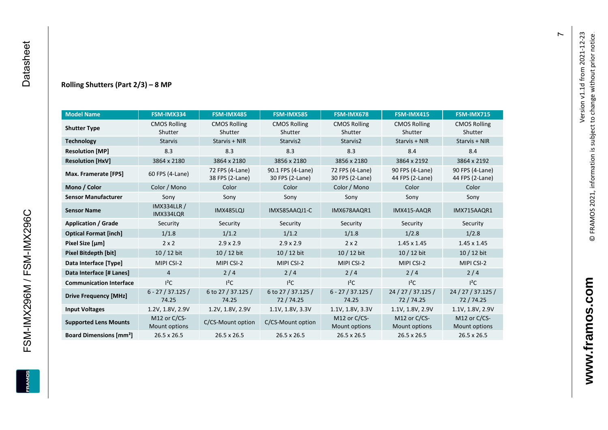#### **Rolling Shutters (Part 2/ 3 ) – 8 MP**

| <b>Model Name</b>                                     | FSM-IMX334                      | FSM-IMX485                         | FSM-IMX585                           | FSM-IMX678                         | FSM-IMX415                         | <b>FSM-IMX715</b>                  |
|-------------------------------------------------------|---------------------------------|------------------------------------|--------------------------------------|------------------------------------|------------------------------------|------------------------------------|
| <b>CMOS Rolling</b><br><b>Shutter Type</b><br>Shutter |                                 | <b>CMOS Rolling</b><br>Shutter     | <b>CMOS Rolling</b><br>Shutter       | <b>CMOS Rolling</b><br>Shutter     | <b>CMOS Rolling</b><br>Shutter     | <b>CMOS Rolling</b><br>Shutter     |
| <b>Technology</b>                                     | <b>Starvis</b>                  | Starvis + NIR                      | Starvis2                             | Starvis2                           | Starvis + NIR                      | Starvis + NIR                      |
| <b>Resolution [MP]</b>                                | 8.3                             | 8.3                                | 8.3                                  | 8.3                                | 8.4                                | 8.4                                |
| <b>Resolution [HxV]</b>                               | 3864 x 2180                     | 3864 x 2180                        | 3856 x 2180                          | 3856 x 2180                        | 3864 x 2192                        | 3864 x 2192                        |
| Max. Framerate [FPS]                                  | 60 FPS (4-Lane)                 | 72 FPS (4-Lane)<br>38 FPS (2-Lane) | 90.1 FPS (4-Lane)<br>30 FPS (2-Lane) | 72 FPS (4-Lane)<br>30 FPS (2-Lane) | 90 FPS (4-Lane)<br>44 FPS (2-Lane) | 90 FPS (4-Lane)<br>44 FPS (2-Lane) |
| Mono / Color                                          | Color / Mono                    | Color                              | Color                                | Color / Mono                       | Color                              | Color                              |
| <b>Sensor Manufacturer</b>                            | Sony                            | Sony                               | Sony                                 | Sony                               | Sony                               | Sony                               |
| <b>Sensor Name</b>                                    | <b>IMX334LLR /</b><br>IMX334LQR | <b>IMX485LQJ</b>                   | IMX585AAQJ1-C                        | IMX678AAQR1                        | IMX415-AAQR                        | IMX715AAQR1                        |
| <b>Application / Grade</b>                            | Security                        | Security                           | Security                             | Security                           | Security                           | Security                           |
| <b>Optical Format [inch]</b>                          | 1/1.8                           | 1/1.2                              | 1/1.2<br>1/1.8                       |                                    | 1/2.8                              | 1/2.8                              |
| Pixel Size [µm]                                       | $2 \times 2$                    | $2.9 \times 2.9$                   | $2.9 \times 2.9$                     | $2 \times 2$                       | $1.45 \times 1.45$                 | $1.45 \times 1.45$                 |
| <b>Pixel Bitdepth [bit]</b>                           | $10/12$ bit                     | $10/12$ bit                        | $10/12$ bit                          | $10/12$ bit                        | $10/12$ bit                        | $10/12$ bit                        |
| Data Interface [Type]                                 | MIPI CSI-2                      | MIPI CSI-2                         | MIPI CSI-2                           | MIPI CSI-2                         | MIPI CSI-2                         | MIPI CSI-2                         |
| Data Interface [# Lanes]                              | 4                               | 2/4                                | 2/4                                  | 2/4                                | 2/4                                | 2/4                                |
| <b>Communication Interface</b>                        | $I^2C$                          | $I^2C$                             | $I^2C$                               | $l^2C$                             | $l^2C$                             | $l^2C$                             |
| <b>Drive Frequency [MHz]</b>                          | $6 - 27 / 37.125 /$<br>74.25    | 6 to 27 / 37.125 /<br>74.25        | 6 to 27 / 37.125 /<br>72/74.25       | $6 - 27 / 37.125 /$<br>74.25       | 24 / 27 / 37.125 /<br>72 / 74.25   | 24 / 27 / 37.125 /<br>72/74.25     |
| <b>Input Voltages</b>                                 | 1.2V, 1.8V, 2.9V                | 1.2V, 1.8V, 2.9V                   | 1.1V, 1.8V, 3.3V                     | 1.1V, 1.8V, 3.3V                   | 1.1V, 1.8V, 2.9V                   | 1.1V, 1.8V, 2.9V                   |
| <b>Supported Lens Mounts</b>                          | M12 or C/CS-<br>Mount options   | C/CS-Mount option                  | C/CS-Mount option                    | M12 or C/CS-<br>Mount options      | M12 or C/CS-<br>Mount options      | M12 or C/CS-<br>Mount options      |
| <b>Board Dimensions [mm<sup>2</sup>]</b>              | $26.5 \times 26.5$              | 26.5 x 26.5                        | 26.5 x 26.5                          | $26.5 \times 26.5$                 | $26.5 \times 26.5$                 | $26.5 \times 26.5$                 |

 $\blacktriangleright$ 

FSM-IMX296M / FSM-IMX296C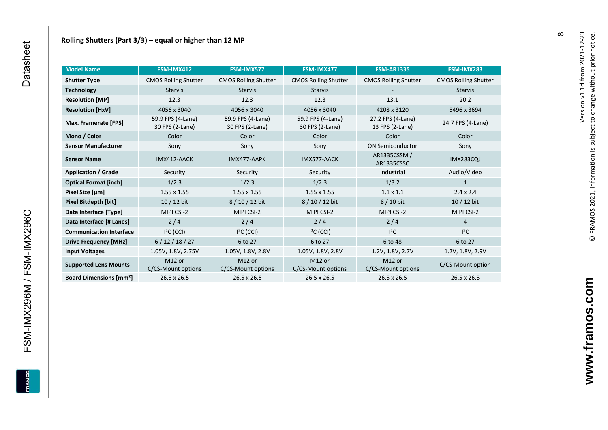| <b>Model Name</b>                        | FSM-IMX412                               | FSM-IMX577                               | FSM-IMX477                               | <b>FSM-AR1335</b>                    | FSM-IMX283                  |
|------------------------------------------|------------------------------------------|------------------------------------------|------------------------------------------|--------------------------------------|-----------------------------|
| <b>Shutter Type</b>                      | <b>CMOS Rolling Shutter</b>              | <b>CMOS Rolling Shutter</b>              | <b>CMOS Rolling Shutter</b>              | <b>CMOS Rolling Shutter</b>          | <b>CMOS Rolling Shutter</b> |
| <b>Technology</b>                        | <b>Starvis</b>                           | <b>Starvis</b>                           | <b>Starvis</b>                           |                                      | <b>Starvis</b>              |
| <b>Resolution [MP]</b>                   | 12.3                                     | 12.3                                     | 12.3                                     | 13.1                                 | 20.2                        |
| <b>Resolution [HxV]</b>                  | 4056 x 3040                              | 4056 x 3040                              | 4056 x 3040                              | 4208 x 3120                          | 5496 x 3694                 |
| Max. Framerate [FPS]                     | 59.9 FPS (4-Lane)<br>30 FPS (2-Lane)     | 59.9 FPS (4-Lane)<br>30 FPS (2-Lane)     | 59.9 FPS (4-Lane)<br>30 FPS (2-Lane)     | 27.2 FPS (4-Lane)<br>13 FPS (2-Lane) | 24.7 FPS (4-Lane)           |
| Mono / Color                             | Color                                    | Color                                    | Color                                    | Color                                | Color                       |
| <b>Sensor Manufacturer</b>               | Sony                                     | Sony                                     | Sony                                     | <b>ON Semiconductor</b>              | Sony                        |
| <b>Sensor Name</b>                       | IMX412-AACK                              | IMX477-AAPK                              | IMX577-AACK                              | AR1335CSSM /<br>AR1335CSSC           | <b>IMX283CQJ</b>            |
| <b>Application / Grade</b>               | Security                                 | Security                                 | Security                                 | Industrial                           | Audio/Video                 |
| <b>Optical Format [inch]</b>             | 1/2.3                                    | 1/2.3                                    | 1/2.3                                    | 1/3.2                                | 1                           |
| Pixel Size [µm]                          | $1.55 \times 1.55$                       | $1.55 \times 1.55$                       | $1.55 \times 1.55$                       | $1.1 \times 1.1$                     | $2.4 \times 2.4$            |
| Pixel Bitdepth [bit]                     | $10/12$ bit                              | 8/10/12 bit                              | 8/10/12 bit                              | 8 / 10 bit                           | $10/12$ bit                 |
| Data Interface [Type]                    | MIPI CSI-2                               | MIPI CSI-2                               | MIPI CSI-2                               | MIPI CSI-2                           | MIPI CSI-2                  |
| Data Interface [# Lanes]                 | 2/4                                      | 2/4                                      | 2/4                                      | 2/4                                  | $\overline{4}$              |
| <b>Communication Interface</b>           | $I2C$ (CCI)                              | $I2C$ (CCI)                              | $I2C$ (CCI)                              | $l^2C$                               | $I^2C$                      |
| <b>Drive Frequency [MHz]</b>             | 6/12/18/27                               | 6 to 27                                  | 6 to 27                                  | 6 to 48                              | 6 to 27                     |
| <b>Input Voltages</b>                    | 1.05V, 1.8V, 2.75V                       | 1.05V, 1.8V, 2.8V                        | 1.05V, 1.8V, 2.8V                        | 1.2V, 1.8V, 2.7V                     | 1.2V, 1.8V, 2.9V            |
| <b>Supported Lens Mounts</b>             | M <sub>12</sub> or<br>C/CS-Mount options | M <sub>12</sub> or<br>C/CS-Mount options | M <sub>12</sub> or<br>C/CS-Mount options | M12 or<br>C/CS-Mount options         | C/CS-Mount option           |
| <b>Board Dimensions [mm<sup>2</sup>]</b> | $26.5 \times 26.5$                       | $26.5 \times 26.5$                       | $26.5 \times 26.5$                       | 26.5 x 26.5                          | 26.5 x 26.5                 |

FSM-IMX296M / FSM-IMX296C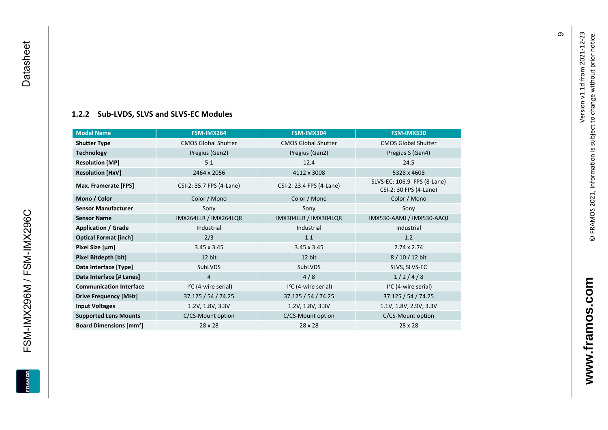#### **[1.2.2](#page-0-7) Sub -LVDS, SLVS and SLVS -EC Modules**

| <b>Model Name</b>                        | FSM-IMX264                 | FSM-IMX304                 | FSM-IMX530                                            |
|------------------------------------------|----------------------------|----------------------------|-------------------------------------------------------|
| <b>Shutter Type</b>                      | <b>CMOS Global Shutter</b> | <b>CMOS Global Shutter</b> | <b>CMOS Global Shutter</b>                            |
| <b>Technology</b>                        | Pregius (Gen2)             | Pregius (Gen2)             | Pregius S (Gen4)                                      |
| <b>Resolution [MP]</b>                   | 5.1                        | 12.4                       | 24.5                                                  |
| <b>Resolution [HxV]</b>                  | 2464 x 2056                | 4112 x 3008                | 5328 x 4608                                           |
| Max. Framerate [FPS]                     | CSI-2: 35.7 FPS (4-Lane)   | CSI-2: 23.4 FPS (4-Lane)   | SLVS-EC: 106.9 FPS (8-Lane)<br>CSI-2: 30 FPS (4-Lane) |
| Mono / Color                             | Color / Mono               | Color / Mono               | Color / Mono                                          |
| <b>Sensor Manufacturer</b>               | Sony                       | Sony                       | Sony                                                  |
| <b>Sensor Name</b>                       | IMX264LLR / IMX264LQR      | IMX304LLR / IMX304LQR      | IMX530-AAMJ / IMX530-AAQJ                             |
| <b>Application / Grade</b>               | Industrial                 | Industrial                 | Industrial                                            |
| <b>Optical Format [inch]</b>             | 2/3                        | 1.1                        | 1.2                                                   |
| Pixel Size [µm]                          | $3.45 \times 3.45$         | $3.45 \times 3.45$         | $2.74 \times 2.74$                                    |
| Pixel Bitdepth [bit]                     | 12 bit                     | 12 bit                     | 8 / 10 / 12 bit                                       |
| Data Interface [Type]                    | SubLVDS                    | SubLVDS                    | SLVS, SLVS-EC                                         |
| Data Interface [# Lanes]                 | $\overline{4}$             | 4/8                        | 1/2/4/8                                               |
| <b>Communication Interface</b>           | $I2C$ (4-wire serial)      | $I2C$ (4-wire serial)      | $I2C$ (4-wire serial)                                 |
| <b>Drive Frequency [MHz]</b>             | 37.125 / 54 / 74.25        | 37.125 / 54 / 74.25        | 37.125 / 54 / 74.25                                   |
| <b>Input Voltages</b>                    | 1.2V, 1.8V, 3.3V           | 1.2V, 1.8V, 3.3V           | 1.1V, 1.8V, 2.9V, 3.3V                                |
| <b>Supported Lens Mounts</b>             | C/CS-Mount option          | C/CS-Mount option          | C/CS-Mount option                                     |
| <b>Board Dimensions [mm<sup>2</sup>]</b> | 28 x 28                    | 28 x 28                    | 28 x 28                                               |

თ

FSM-IMX296M / FSM-IMX296C Datasheet

<span id="page-10-0"></span>FSM-IMX296M / FSM-IMX296C

Datasheet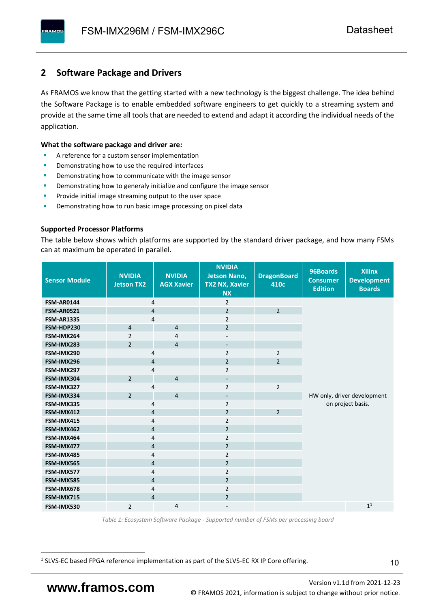### <span id="page-11-0"></span>**2 Software Package and Drivers**

As FRAMOS we know that the getting started with a new technology is the biggest challenge. The idea behind the Software Package is to enable embedded software engineers to get quickly to a streaming system and provide at the same time all tools that are needed to extend and adapt it according the individual needs of the application.

#### **What the software package and driver are:**

- A reference for a custom sensor implementation
- Demonstrating how to use the required interfaces
- Demonstrating how to communicate with the image sensor
- Demonstrating how to generaly initialize and configure the image sensor
- Provide initial image streaming output to the user space
- Demonstrating how to run basic image processing on pixel data

#### **Supported Processor Platforms**

The table below shows which platforms are supported by the standard driver package, and how many FSMs can at maximum be operated in parallel.

| <b>Sensor Module</b> | <b>NVIDIA</b><br><b>Jetson TX2</b> | <b>NVIDIA</b><br><b>AGX Xavier</b> | <b>NVIDIA</b><br><b>Jetson Nano,</b><br><b>TX2 NX, Xavier</b><br><b>NX</b> | <b>DragonBoard</b><br>410c | 96Boards<br><b>Consumer</b><br><b>Edition</b> | <b>Xilinx</b><br><b>Development</b><br><b>Boards</b> |  |  |
|----------------------|------------------------------------|------------------------------------|----------------------------------------------------------------------------|----------------------------|-----------------------------------------------|------------------------------------------------------|--|--|
| <b>FSM-AR0144</b>    | 4                                  |                                    | $\overline{2}$                                                             |                            |                                               |                                                      |  |  |
| <b>FSM-AR0521</b>    | $\overline{4}$                     |                                    | $\overline{2}$                                                             | $\overline{2}$             |                                               |                                                      |  |  |
| <b>FSM-AR1335</b>    | 4                                  |                                    | $\overline{2}$                                                             |                            |                                               |                                                      |  |  |
| FSM-HDP230           | $\overline{4}$                     | $\overline{4}$                     | $\overline{2}$                                                             |                            |                                               |                                                      |  |  |
| FSM-IMX264           | $\overline{2}$                     | $\overline{4}$                     | $\overline{\phantom{a}}$                                                   |                            |                                               |                                                      |  |  |
| FSM-IMX283           | $\overline{2}$                     | $\overline{4}$                     | $\overline{\phantom{a}}$                                                   |                            |                                               |                                                      |  |  |
| FSM-IMX290           | 4                                  |                                    | $\overline{2}$                                                             | $\overline{2}$             |                                               |                                                      |  |  |
| FSM-IMX296           | 4                                  |                                    | $\overline{2}$                                                             | $\overline{2}$             |                                               |                                                      |  |  |
| FSM-IMX297           | 4                                  |                                    | $\overline{2}$                                                             |                            |                                               |                                                      |  |  |
| FSM-IMX304           | $\overline{2}$                     | $\overline{4}$                     | $\overline{\phantom{a}}$                                                   |                            |                                               |                                                      |  |  |
| FSM-IMX327           | 4                                  |                                    | $\overline{2}$                                                             | $\overline{2}$             |                                               |                                                      |  |  |
| FSM-IMX334           | $\overline{2}$                     | $\overline{4}$                     | $\overline{\phantom{a}}$                                                   |                            | HW only, driver development                   |                                                      |  |  |
| FSM-IMX335           | 4                                  |                                    | $\overline{2}$                                                             |                            | on project basis.                             |                                                      |  |  |
| FSM-IMX412           | $\overline{4}$                     |                                    | $\overline{2}$                                                             | $\overline{2}$             |                                               |                                                      |  |  |
| FSM-IMX415           | 4                                  |                                    | $\overline{2}$                                                             |                            |                                               |                                                      |  |  |
| FSM-IMX462           | $\overline{\mathbf{4}}$            |                                    | $\overline{2}$                                                             |                            |                                               |                                                      |  |  |
| FSM-IMX464           | $\overline{4}$                     |                                    | $\overline{2}$                                                             |                            |                                               |                                                      |  |  |
| FSM-IMX477           | $\overline{4}$                     |                                    | $\overline{2}$                                                             |                            |                                               |                                                      |  |  |
| FSM-IMX485           | $\overline{4}$                     |                                    | $\overline{2}$                                                             |                            |                                               |                                                      |  |  |
| FSM-IMX565           | $\overline{4}$                     |                                    | $\overline{2}$                                                             |                            |                                               |                                                      |  |  |
| FSM-IMX577           | $\overline{4}$                     |                                    | $\overline{2}$                                                             |                            |                                               |                                                      |  |  |
| FSM-IMX585           | $\overline{4}$                     |                                    | $\overline{2}$                                                             |                            |                                               |                                                      |  |  |
| FSM-IMX678           | 4                                  |                                    | $\overline{2}$                                                             |                            |                                               |                                                      |  |  |
| FSM-IMX715           | $\overline{4}$                     |                                    | $\overline{2}$                                                             |                            |                                               |                                                      |  |  |
| FSM-IMX530           | $\overline{2}$                     | $\overline{4}$                     |                                                                            |                            |                                               | 1 <sup>1</sup>                                       |  |  |

*Table 1: Ecosystem Software Package - Supported number of FSMs per processing board*

<sup>1</sup> SLVS-EC based FPGA reference implementation as part of the SLVS-EC RX IP Core offering.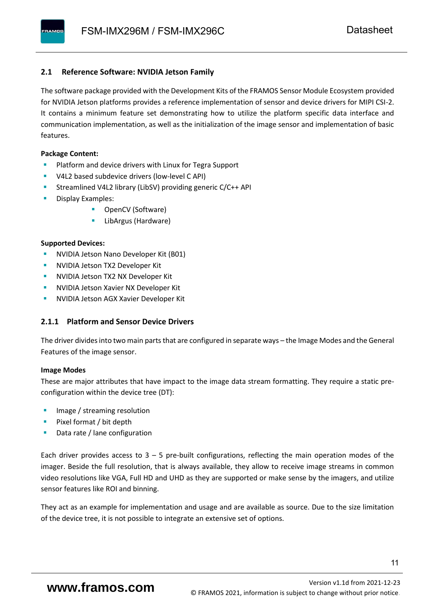#### <span id="page-12-0"></span>**2.1 Reference Software: NVIDIA Jetson Family**

The software package provided with the Development Kits of the FRAMOS Sensor Module Ecosystem provided for NVIDIA Jetson platforms provides a reference implementation of sensor and device drivers for MIPI CSI-2. It contains a minimum feature set demonstrating how to utilize the platform specific data interface and communication implementation, as well as the initialization of the image sensor and implementation of basic features.

#### **Package Content:**

- Platform and device drivers with Linux for Tegra Support
- V4L2 based subdevice drivers (low-level C API)
- Streamlined V4L2 library (LibSV) providing generic C/C++ API
- Display Examples:
	- OpenCV (Software)
	- LibArgus (Hardware)

#### **Supported Devices:**

- NVIDIA Jetson Nano Developer Kit (B01)
- **NVIDIA Jetson TX2 Developer Kit**
- NVIDIA Jetson TX2 NX Developer Kit
- **NVIDIA Jetson Xavier NX Developer Kit**
- **NVIDIA Jetson AGX Xavier Developer Kit**

#### <span id="page-12-1"></span>**2.1.1 Platform and Sensor Device Drivers**

The driver divides into two main parts that are configured in separate ways – the Image Modes and the General Features of the image sensor.

#### **Image Modes**

These are major attributes that have impact to the image data stream formatting. They require a static preconfiguration within the device tree (DT):

- Image / streaming resolution
- Pixel format / bit depth
- Data rate / lane configuration

Each driver provides access to  $3 - 5$  pre-built configurations, reflecting the main operation modes of the imager. Beside the full resolution, that is always available, they allow to receive image streams in common video resolutions like VGA, Full HD and UHD as they are supported or make sense by the imagers, and utilize sensor features like ROI and binning.

They act as an example for implementation and usage and are available as source. Due to the size limitation of the device tree, it is not possible to integrate an extensive set of options.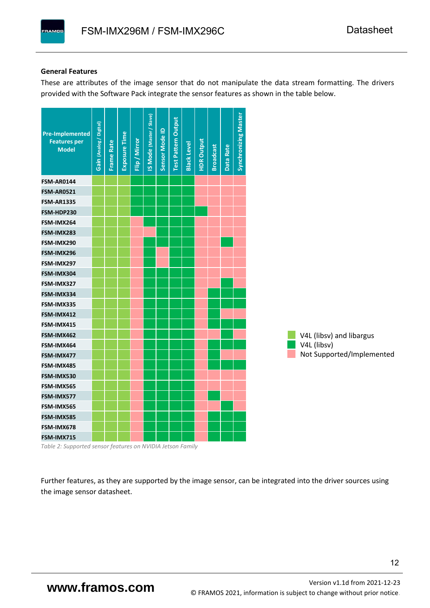#### **General Features**

These are attributes of the image sensor that do not manipulate the data stream formatting. The drivers provided with the Software Pack integrate the sensor features as shown in the table below.

| <b>Pre-Implemented</b><br><b>Features per</b><br><b>Model</b> | Gain (Analog / Digital) | <b>Frame Rate</b> | <b>Exposure Time</b> | Flip / Mirror | <b>IS Mode (Master / Slave)</b> | Sensor Mode ID | <b>Test Pattern Output</b> | <b>Black Level</b> | <b>HDR Output</b> | <b>Broadcast</b> | Data Rate | <b>Synchronizing Master</b> |                           |
|---------------------------------------------------------------|-------------------------|-------------------|----------------------|---------------|---------------------------------|----------------|----------------------------|--------------------|-------------------|------------------|-----------|-----------------------------|---------------------------|
| <b>FSM-AR0144</b>                                             |                         |                   |                      |               |                                 |                |                            |                    |                   |                  |           |                             |                           |
| <b>FSM-AR0521</b>                                             |                         |                   |                      |               |                                 |                |                            |                    |                   |                  |           |                             |                           |
| <b>FSM-AR1335</b>                                             |                         |                   |                      |               |                                 |                |                            |                    |                   |                  |           |                             |                           |
| FSM-HDP230                                                    |                         |                   |                      |               |                                 |                |                            |                    |                   |                  |           |                             |                           |
| FSM-IMX264                                                    |                         |                   |                      |               |                                 |                |                            |                    |                   |                  |           |                             |                           |
| FSM-IMX283                                                    |                         |                   |                      |               |                                 |                |                            |                    |                   |                  |           |                             |                           |
| FSM-IMX290                                                    |                         |                   |                      |               |                                 |                |                            |                    |                   |                  |           |                             |                           |
| FSM-IMX296                                                    |                         |                   |                      |               |                                 |                |                            |                    |                   |                  |           |                             |                           |
| FSM-IMX297                                                    |                         |                   |                      |               |                                 |                |                            |                    |                   |                  |           |                             |                           |
| FSM-IMX304                                                    |                         |                   |                      |               |                                 |                |                            |                    |                   |                  |           |                             |                           |
| FSM-IMX327                                                    |                         |                   |                      |               |                                 |                |                            |                    |                   |                  |           |                             |                           |
| FSM-IMX334                                                    |                         |                   |                      |               |                                 |                |                            |                    |                   |                  |           |                             |                           |
| FSM-IMX335                                                    |                         |                   |                      |               |                                 |                |                            |                    |                   |                  |           |                             |                           |
| FSM-IMX412                                                    |                         |                   |                      |               |                                 |                |                            |                    |                   |                  |           |                             |                           |
| FSM-IMX415                                                    |                         |                   |                      |               |                                 |                |                            |                    |                   |                  |           |                             |                           |
| FSM-IMX462                                                    |                         |                   |                      |               |                                 |                |                            |                    |                   |                  |           |                             | V4L (libsv) and libargus  |
| FSM-IMX464                                                    |                         |                   |                      |               |                                 |                |                            |                    |                   |                  |           |                             | V4L (libsv)               |
| FSM-IMX477                                                    |                         |                   |                      |               |                                 |                |                            |                    |                   |                  |           |                             | Not Supported/Implemented |
| FSM-IMX485                                                    |                         |                   |                      |               |                                 |                |                            |                    |                   |                  |           |                             |                           |
| FSM-IMX530                                                    |                         |                   |                      |               |                                 |                |                            |                    |                   |                  |           |                             |                           |
| FSM-IMX565                                                    |                         |                   |                      |               |                                 |                |                            |                    |                   |                  |           |                             |                           |
| FSM-IMX577                                                    |                         |                   |                      |               |                                 |                |                            |                    |                   |                  |           |                             |                           |
| FSM-IMX565                                                    |                         |                   |                      |               |                                 |                |                            |                    |                   |                  |           |                             |                           |
| FSM-IMX585                                                    |                         |                   |                      |               |                                 |                |                            |                    |                   |                  |           |                             |                           |
| FSM-IMX678                                                    |                         |                   |                      |               |                                 |                |                            |                    |                   |                  |           |                             |                           |
| FSM-IMX715                                                    |                         |                   |                      |               |                                 |                |                            |                    |                   |                  |           |                             |                           |

*Table 2: Supported sensor features on NVIDIA Jetson Family*

Further features, as they are supported by the image sensor, can be integrated into the driver sources using the image sensor datasheet.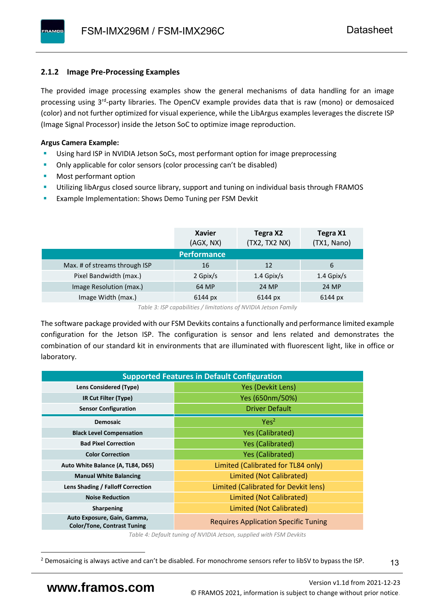#### <span id="page-14-0"></span>**2.1.2 Image Pre-Processing Examples**

The provided image processing examples show the general mechanisms of data handling for an image processing using 3<sup>rd</sup>-party libraries. The OpenCV example provides data that is raw (mono) or demosaiced (color) and not further optimized for visual experience, while the LibArgus examples leverages the discrete ISP (Image Signal Processor) inside the Jetson SoC to optimize image reproduction.

#### **Argus Camera Example:**

- Using hard ISP in NVIDIA Jetson SoCs, most performant option for image preprocessing
- Only applicable for color sensors (color processing can't be disabled)
- Most performant option
- Utilizing libArgus closed source library, support and tuning on individual basis through FRAMOS
- Example Implementation: Shows Demo Tuning per FSM Devkit

|                               | <b>Xavier</b><br>(AGX, NX) | Tegra X2<br>(TX2, TX2 NX) | Tegra X1<br>(TX1, Nano) |
|-------------------------------|----------------------------|---------------------------|-------------------------|
|                               | <b>Performance</b>         |                           |                         |
| Max. # of streams through ISP | 16                         | 12                        | 6                       |
| Pixel Bandwidth (max.)        | 2 Gpix/s                   | $1.4$ Gpix/s              | $1.4$ Gpix/s            |
| Image Resolution (max.)       | 64 MP                      | 24 MP                     | 24 MP                   |
| Image Width (max.)            | 6144 px                    | 6144 px                   | 6144 px                 |

*Table 3: ISP capabilities / limitations of NVIDIA Jetson Family*

The software package provided with our FSM Devkits contains a functionally and performance limited example configuration for the Jetson ISP. The configuration is sensor and lens related and demonstrates the combination of our standard kit in environments that are illuminated with fluorescent light, like in office or laboratory.

|                                                                   | <b>Supported Features in Default Configuration</b> |  |  |  |  |
|-------------------------------------------------------------------|----------------------------------------------------|--|--|--|--|
| <b>Lens Considered (Type)</b>                                     | Yes (Devkit Lens)                                  |  |  |  |  |
| IR Cut Filter (Type)                                              | Yes (650nm/50%)                                    |  |  |  |  |
| <b>Sensor Configuration</b>                                       | <b>Driver Default</b>                              |  |  |  |  |
| <b>Demosaic</b>                                                   | Yes <sup>2</sup>                                   |  |  |  |  |
| <b>Black Level Compensation</b>                                   | <b>Yes (Calibrated)</b>                            |  |  |  |  |
| <b>Bad Pixel Correction</b>                                       | <b>Yes (Calibrated)</b>                            |  |  |  |  |
| <b>Color Correction</b>                                           | <b>Yes (Calibrated)</b>                            |  |  |  |  |
| Auto White Balance (A, TL84, D65)                                 | Limited (Calibrated for TL84 only)                 |  |  |  |  |
| <b>Manual White Balancing</b>                                     | Limited (Not Calibrated)                           |  |  |  |  |
| Lens Shading / Falloff Correction                                 | Limited (Calibrated for Devkit lens)               |  |  |  |  |
| <b>Noise Reduction</b>                                            | Limited (Not Calibrated)                           |  |  |  |  |
| <b>Sharpening</b>                                                 | Limited (Not Calibrated)                           |  |  |  |  |
| Auto Exposure, Gain, Gamma,<br><b>Color/Tone, Contrast Tuning</b> | <b>Requires Application Specific Tuning</b>        |  |  |  |  |

*Table 4: Default tuning of NVIDIA Jetson, supplied with FSM Devkits*

13

<sup>&</sup>lt;sup>2</sup> Demosaicing is always active and can't be disabled. For monochrome sensors refer to libSV to bypass the ISP.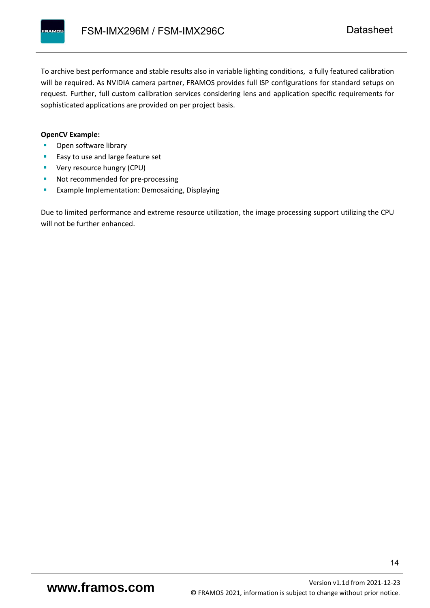To archive best performance and stable results also in variable lighting conditions, a fully featured calibration will be required. As NVIDIA camera partner, FRAMOS provides full ISP configurations for standard setups on request. Further, full custom calibration services considering lens and application specific requirements for sophisticated applications are provided on per project basis.

#### **OpenCV Example:**

- Open software library
- Easy to use and large feature set
- **•** Very resource hungry (CPU)
- Not recommended for pre-processing
- **Example Implementation: Demosaicing, Displaying**

Due to limited performance and extreme resource utilization, the image processing support utilizing the CPU will not be further enhanced.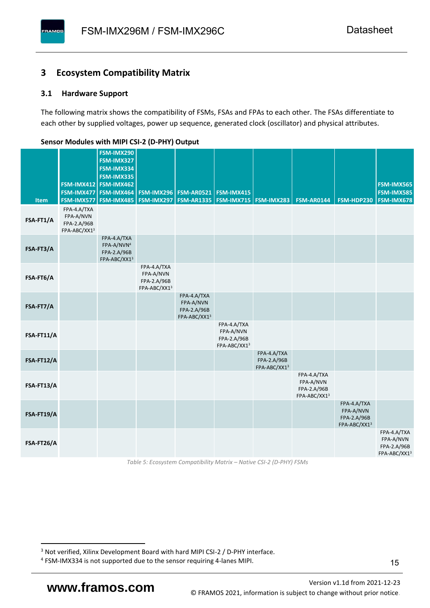#### <span id="page-16-0"></span>**3 Ecosystem Compatibility Matrix**

#### <span id="page-16-1"></span>**3.1 Hardware Support**

**PAMOS** 

The following matrix shows the compatibility of FSMs, FSAs and FPAs to each other. The FSAs differentiate to each other by supplied voltages, power up sequence, generated clock (oscillator) and physical attributes.

|            |                                                         | FSM-IMX290<br>FSM-IMX327                                             |                                                         |                                                         |                                                         |                                            |                                                         |                                                         |                                                         |
|------------|---------------------------------------------------------|----------------------------------------------------------------------|---------------------------------------------------------|---------------------------------------------------------|---------------------------------------------------------|--------------------------------------------|---------------------------------------------------------|---------------------------------------------------------|---------------------------------------------------------|
|            |                                                         | FSM-IMX334<br>FSM-IMX335                                             |                                                         |                                                         |                                                         |                                            |                                                         |                                                         |                                                         |
|            |                                                         | FSM-IMX412 FSM-IMX462<br>FSM-IMX477 FSM-IMX464                       |                                                         | <b>FSM-IMX296 FSM-AR0521</b>                            | FSM-IMX415                                              |                                            |                                                         |                                                         | FSM-IMX565<br><b>FSM-IMX585</b>                         |
| Item       | FSM-IMX577                                              | FSM-IMX485                                                           |                                                         | <b>FSM-IMX297   FSM-AR1335  </b>                        | <b>FSM-IMX715 FSM-IMX283</b>                            |                                            | <b>FSM-AR0144</b>                                       | FSM-HDP230                                              | <b>FSM-IMX678</b>                                       |
| FSA-FT1/A  | FPA-4.A/TXA<br>FPA-A/NVN<br>FPA-2.A/96B<br>FPA-ABC/XX13 |                                                                      |                                                         |                                                         |                                                         |                                            |                                                         |                                                         |                                                         |
| FSA-FT3/A  |                                                         | FPA-4.A/TXA<br>FPA-A/NVN <sup>4</sup><br>FPA-2.A/96B<br>FPA-ABC/XX13 |                                                         |                                                         |                                                         |                                            |                                                         |                                                         |                                                         |
| FSA-FT6/A  |                                                         |                                                                      | FPA-4.A/TXA<br>FPA-A/NVN<br>FPA-2.A/96B<br>FPA-ABC/XX13 |                                                         |                                                         |                                            |                                                         |                                                         |                                                         |
| FSA-FT7/A  |                                                         |                                                                      |                                                         | FPA-4.A/TXA<br>FPA-A/NVN<br>FPA-2.A/96B<br>FPA-ABC/XX13 |                                                         |                                            |                                                         |                                                         |                                                         |
| FSA-FT11/A |                                                         |                                                                      |                                                         |                                                         | FPA-4.A/TXA<br>FPA-A/NVN<br>FPA-2.A/96B<br>FPA-ABC/XX13 |                                            |                                                         |                                                         |                                                         |
| FSA-FT12/A |                                                         |                                                                      |                                                         |                                                         |                                                         | FPA-4.A/TXA<br>FPA-2.A/96B<br>FPA-ABC/XX13 |                                                         |                                                         |                                                         |
| FSA-FT13/A |                                                         |                                                                      |                                                         |                                                         |                                                         |                                            | FPA-4.A/TXA<br>FPA-A/NVN<br>FPA-2.A/96B<br>FPA-ABC/XX13 |                                                         |                                                         |
| FSA-FT19/A |                                                         |                                                                      |                                                         |                                                         |                                                         |                                            |                                                         | FPA-4.A/TXA<br>FPA-A/NVN<br>FPA-2.A/96B<br>FPA-ABC/XX13 |                                                         |
| FSA-FT26/A |                                                         |                                                                      |                                                         |                                                         |                                                         |                                            |                                                         |                                                         | FPA-4.A/TXA<br>FPA-A/NVN<br>FPA-2.A/96B<br>FPA-ABC/XX13 |

#### <span id="page-16-2"></span>**Sensor Modules with MIPI CSI-2 (D-PHY) Output**

*Table 5: Ecosystem Compatibility Matrix – Native CSI-2 (D-PHY) FSMs*

Version [v1.1d](#page-0-3) from 2021-12-23 **www.framos.com** © FRAMOS 2021, [information is subject to change without prior notice.](mailto:sales@framos.de)

<sup>&</sup>lt;sup>3</sup> Not verified, Xilinx Development Board with hard MIPI CSI-2 / D-PHY interface.

<sup>4</sup> FSM-IMX334 is not supported due to the sensor requiring 4-lanes MIPI.